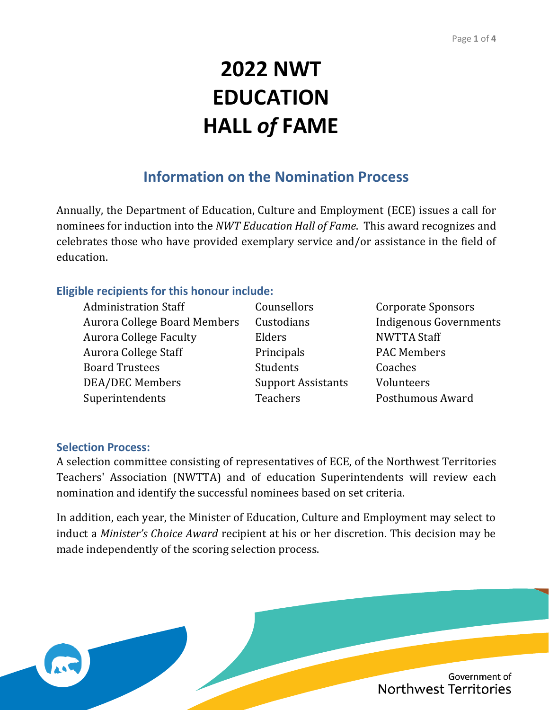# **2022 NWT EDUCATION HALL** *of* **FAME**

## **Information on the Nomination Process**

Annually, the Department of Education, Culture and Employment (ECE) issues a call for nominees for induction into the *NWT Education Hall of Fame*. This award recognizes and celebrates those who have provided exemplary service and/or assistance in the field of education.

#### **Eligible recipients for this honour include:**

Administration Staff Counsellors Corporate Sponsors Aurora College Board Members Custodians Indigenous Governments Aurora College Faculty **Elders** Elders NWTTA Staff Aurora College Staff **Principals** PAC Members Board Trustees Students Coaches DEA/DEC Members Support Assistants Volunteers Superintendents Teachers Posthumous Award

#### **Selection Process:**

A selection committee consisting of representatives of ECE, of the Northwest Territories Teachers' Association (NWTTA) and of education Superintendents will review each nomination and identify the successful nominees based on set criteria.

In addition, each year, the Minister of Education, Culture and Employment may select to induct a *Minister's Choice Award* recipient at his or her discretion. This decision may be made independently of the scoring selection process.

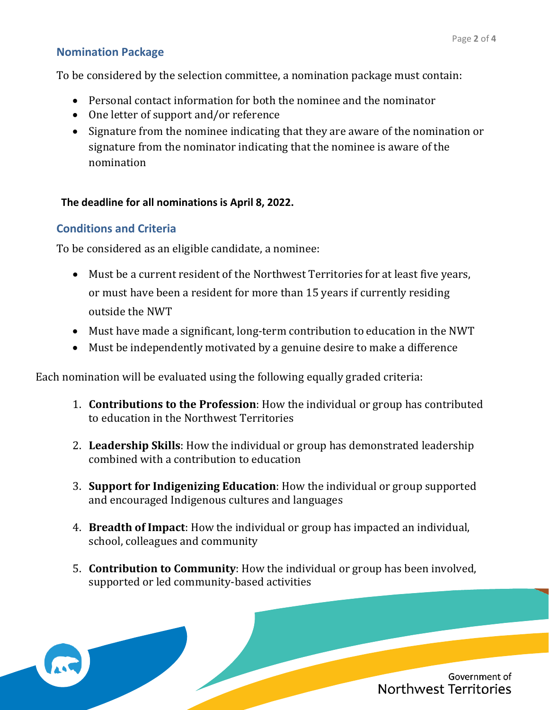#### **Nomination Package**

To be considered by the selection committee, a nomination package must contain:

- Personal contact information for both the nominee and the nominator
- One letter of support and/or reference
- Signature from the nominee indicating that they are aware of the nomination or signature from the nominator indicating that the nominee is aware of the nomination

#### **The deadline for all nominations is April 8, 2022.**

#### **Conditions and Criteria**

To be considered as an eligible candidate, a nominee:

- Must be a current resident of the Northwest Territories for at least five years, or must have been a resident for more than 15 years if currently residing outside the NWT
- Must have made a significant, long-term contribution to education in the NWT
- Must be independently motivated by a genuine desire to make a difference

Each nomination will be evaluated using the following equally graded criteria:

- 1. **Contributions to the Profession**: How the individual or group has contributed to education in the Northwest Territories
- 2. **Leadership Skills**: How the individual or group has demonstrated leadership combined with a contribution to education
- 3. **Support for Indigenizing Education**: How the individual or group supported and encouraged Indigenous cultures and languages
- 4. **Breadth of Impact**: How the individual or group has impacted an individual, school, colleagues and community
- 5. **Contribution to Community**: How the individual or group has been involved, supported or led community-based activities

Government of Northwest Territories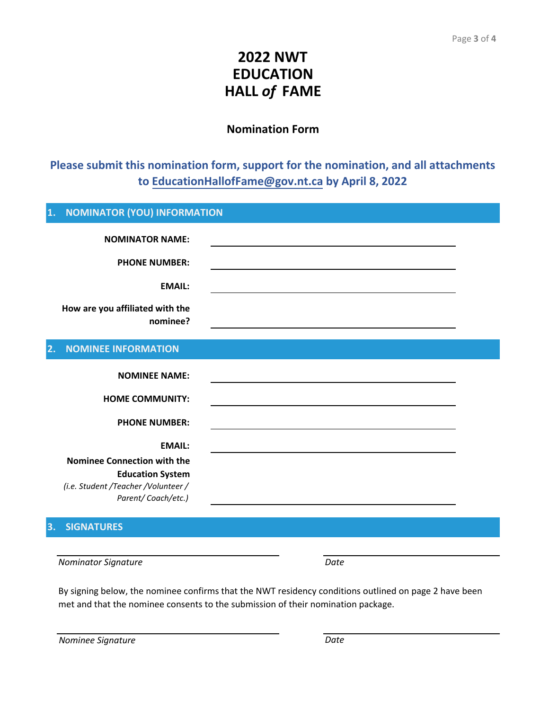## **2022 NWT EDUCATION HALL** *of* **FAME**

#### **Nomination Form**

### **Please submit this nomination form, support for the nomination, and all attachments to EducationHallofFame@gov.nt.ca by April 8, 2022**

| 1. | <b>NOMINATOR (YOU) INFORMATION</b>  |                                                                                                                       |  |
|----|-------------------------------------|-----------------------------------------------------------------------------------------------------------------------|--|
|    | <b>NOMINATOR NAME:</b>              |                                                                                                                       |  |
|    |                                     |                                                                                                                       |  |
|    | <b>PHONE NUMBER:</b>                |                                                                                                                       |  |
|    | <b>EMAIL:</b>                       |                                                                                                                       |  |
|    | How are you affiliated with the     |                                                                                                                       |  |
|    | nominee?                            |                                                                                                                       |  |
|    |                                     |                                                                                                                       |  |
| 2. | <b>NOMINEE INFORMATION</b>          |                                                                                                                       |  |
|    | <b>NOMINEE NAME:</b>                |                                                                                                                       |  |
|    |                                     |                                                                                                                       |  |
|    | <b>HOME COMMUNITY:</b>              |                                                                                                                       |  |
|    | <b>PHONE NUMBER:</b>                | <u> 1989 - Johann Stein, marwolaethau a bhann an t-Amhain ann an t-Amhain an t-Amhain an t-Amhain an t-Amhain an </u> |  |
|    | <b>EMAIL:</b>                       |                                                                                                                       |  |
|    | <b>Nominee Connection with the</b>  |                                                                                                                       |  |
|    | <b>Education System</b>             |                                                                                                                       |  |
|    | (i.e. Student /Teacher /Volunteer / |                                                                                                                       |  |
|    | Parent/Coach/etc.)                  |                                                                                                                       |  |
|    |                                     |                                                                                                                       |  |

#### **3. SIGNATURES**

*Nominator Signature Date*

By signing below, the nominee confirms that the NWT residency conditions outlined on page 2 have been met and that the nominee consents to the submission of their nomination package.

| Nominee Signature | Date |
|-------------------|------|
|                   |      |